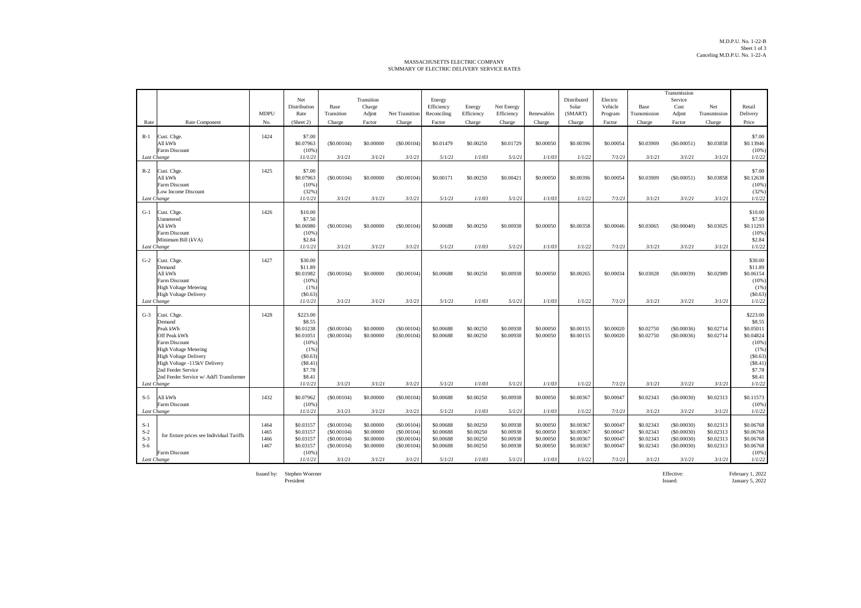## MASSACHUSETTS ELECTRIC COMPANY SUMMARY OF ELECTRIC DELIVERY SERVICE RATES

|                |                                                              |              | Net                    |                          | Transition             |                          |                        |                        |                        |                        | Distributed            | Electric               |                        | Transmission<br>Service  |                        |                        |
|----------------|--------------------------------------------------------------|--------------|------------------------|--------------------------|------------------------|--------------------------|------------------------|------------------------|------------------------|------------------------|------------------------|------------------------|------------------------|--------------------------|------------------------|------------------------|
|                |                                                              |              | Distribution           | Base                     | Charge                 |                          | Energy<br>Efficiency   | Energy                 | Net Energy             |                        | Solar                  | Vehicle                | Base                   | Cost                     | Net                    | Retail                 |
|                |                                                              | <b>MDPU</b>  | Rate                   | Transition               | Adjmt                  | <b>Net Transition</b>    | Reconciling            | Efficiency             | Efficiency             | Renewables             | (SMART)                | Program                | Transmission           | Adjmt                    | Transmission           | Delivery               |
| Rate           | Rate Component                                               | No.          | (Sheet 2)              | Charge                   | Factor                 | Charge                   | Factor                 | Charge                 | Charge                 | Charge                 | Charge                 | Factor                 | Charge                 | Factor                   | Charge                 | Price                  |
| $R-1$          | Cust. Chge.                                                  | 1424         | \$7.00                 |                          |                        |                          |                        |                        |                        |                        |                        |                        |                        |                          |                        | \$7.00                 |
|                | All kWh<br>Farm Discount                                     |              | \$0.07963<br>(10%      | (S0.00104)               | \$0,00000              | (S0.00104)               | \$0.01479              | \$0.00250              | \$0.01729              | \$0,00050              | \$0,00396              | \$0,00054              | \$0.03909              | (S0.00051)               | \$0.03858              | \$0.13946<br>(10%      |
| Last Change    |                                                              |              | 11/1/21                | 3/1/21                   | 3/1/21                 | 3/1/21                   | 5/1/21                 | 1/1/03                 | 5/1/21                 | 1/1/03                 | 1/1/22                 | 7/1/21                 | 3/1/21                 | 3/1/21                   | 3/1/21                 | 1/1/22                 |
| $R-2$          | Cust. Chge.                                                  | 1425         | \$7.00                 |                          |                        |                          |                        |                        |                        |                        |                        |                        |                        |                          |                        | \$7.00                 |
|                | All kWh                                                      |              | \$0.07963              | (S0.00104)               | \$0.00000              | (S0.00104)               | \$0.00171              | \$0.00250              | \$0.00421              | \$0.00050              | \$0,00396              | \$0,00054              | \$0.03909              | (S0.00051)               | \$0.03858              | \$0.12638              |
|                | Farm Discount<br>Low Income Discount                         |              | (10%<br>(32%)          |                          |                        |                          |                        |                        |                        |                        |                        |                        |                        |                          |                        | (10%<br>(32%           |
| Last Change    |                                                              |              | 11/1/21                | 3/1/21                   | 3/1/21                 | 3/1/21                   | 5/1/21                 | 1/1/03                 | 5/1/21                 | 1/1/03                 | 1/1/22                 | 7/1/21                 | 3/1/21                 | 3/1/21                   | 3/1/21                 | 1/1/22                 |
| $G-1$          | Cust. Chge.                                                  | 1426         | \$10.00                |                          |                        |                          |                        |                        |                        |                        |                        |                        |                        |                          |                        | \$10.00                |
|                | Unmetered<br>All kWh                                         |              | \$7.50                 |                          | \$0,00000              | (S0.00104)               | \$0,00688              | \$0.00250              |                        | \$0,00050              | \$0,00358              | \$0,00046              | \$0.03065              | (S0,00040)               |                        | \$7.50                 |
|                | Farm Discount                                                |              | \$0.06980<br>(10%      | (S0.00104)               |                        |                          |                        |                        | \$0.00938              |                        |                        |                        |                        |                          | \$0.03025              | \$0.11293<br>(10%      |
|                | Minimum Bill (kVA)                                           |              | \$2.84<br>11/1/21      | 3/1/21                   | 3/1/21                 | 3/1/21                   | 5/1/21                 | 1/1/03                 | 5/1/21                 | 1/1/03                 | 1/1/22                 | 7/1/21                 | 3/1/21                 | 3/1/21                   | 3/1/21                 | \$2.84<br>1/1/22       |
| Last Change    |                                                              |              |                        |                          |                        |                          |                        |                        |                        |                        |                        |                        |                        |                          |                        |                        |
| $G-2$          | Cust. Chge.<br>Demand                                        | 1427         | \$30.00<br>\$11.89     |                          |                        |                          |                        |                        |                        |                        |                        |                        |                        |                          |                        | \$30.00<br>\$11.89     |
|                | All kWh                                                      |              | \$0.01982              | (S0.00104)               | \$0,00000              | (S0.00104)               | \$0,00688              | \$0.00250              | \$0,00938              | \$0,00050              | \$0,00265              | \$0,00034              | \$0.03028              | (S0.00039)               | \$0.02989              | \$0.06154              |
|                | Farm Discount                                                |              | (10%<br>(1% )          |                          |                        |                          |                        |                        |                        |                        |                        |                        |                        |                          |                        | (10%                   |
|                | <b>High Voltage Metering</b><br><b>High Voltage Delivery</b> |              | (S0.63)                |                          |                        |                          |                        |                        |                        |                        |                        |                        |                        |                          |                        | (1%<br>(\$0.63)        |
| Last Change    |                                                              |              | 11/1/21                | 3/1/21                   | 3/1/21                 | 3/1/21                   | 5/1/21                 | 1/1/03                 | 5/1/21                 | 1/1/03                 | 1/1/22                 | 7/1/21                 | 3/1/21                 | 3/1/21                   | 3/1/21                 | 1/1/22                 |
| $G-3$          | Cust. Chge.                                                  | 1428         | \$223.00               |                          |                        |                          |                        |                        |                        |                        |                        |                        |                        |                          |                        | \$223.00               |
|                | Demand<br>Peak kWh                                           |              | \$8.55<br>\$0.01238    | (S0.00104)               | \$0,00000              | (S0.00104)               | \$0.00688              | \$0.00250              | \$0.00938              | \$0,00050              | \$0.00155              | \$0,00020              | \$0.02750              | (S0.00036)               | \$0.02714              | \$8.55<br>\$0.05011    |
|                | Off Peak kWh                                                 |              | \$0.01051              | (S0.00104)               | \$0.00000              | (S0.00104)               | \$0.00688              | \$0.00250              | \$0.00938              | \$0.00050              | \$0,00155              | \$0,00020              | \$0.02750              | (S0.00036)               | \$0.02714              | \$0.04824              |
|                | Farm Discount<br><b>High Voltage Metering</b>                |              | (10%<br>(1%            |                          |                        |                          |                        |                        |                        |                        |                        |                        |                        |                          |                        | (10%<br>(1%            |
|                | <b>High Voltage Delivery</b>                                 |              | (S0.63)                |                          |                        |                          |                        |                        |                        |                        |                        |                        |                        |                          |                        | (\$0.63)               |
|                | High Voltage -115kV Delivery<br>2nd Feeder Service           |              | (S8.41)<br>\$7.78      |                          |                        |                          |                        |                        |                        |                        |                        |                        |                        |                          |                        | (S8.41)<br>\$7.78      |
|                | 2nd Feeder Service w/ Add'l Transformer                      |              | \$8.41                 |                          |                        |                          |                        |                        |                        |                        |                        |                        |                        |                          |                        | \$8.41                 |
| Last Change    |                                                              |              | 11/1/21                | 3/1/21                   | 3/1/21                 | 3/1/21                   | 5/1/21                 | 1/1/03                 | 5/1/21                 | 1/1/03                 | 1/1/22                 | 7/1/21                 | 3/1/21                 | 3/1/21                   | 3/1/21                 | 1/1/22                 |
| $S-5$          | All kWh                                                      | 1432         | \$0.07962              | (S0.00104)               | \$0,00000              | (S0.00104)               | \$0,00688              | \$0.00250              | \$0,00938              | \$0,00050              | \$0,00367              | \$0,00047              | \$0.02343              | (S0,00030)               | \$0.02313              | \$0.11573              |
| Last Change    | Farm Discount                                                |              | (10%<br>11/1/21        | 3/1/21                   | 3/1/21                 | 3/1/21                   | 5/1/21                 | 1/1/03                 | 5/1/21                 | 1/1/03                 | 1/1/22                 | 7/1/21                 | 3/1/21                 | 3/1/21                   | 3/1/21                 | (10%<br>1/1/22         |
|                |                                                              |              |                        |                          |                        |                          |                        |                        |                        |                        |                        |                        |                        |                          |                        |                        |
| $S-1$<br>$S-2$ |                                                              | 1464<br>1465 | \$0.03157<br>\$0.03157 | (S0.00104)<br>(S0.00104) | \$0.00000<br>\$0,00000 | (S0.00104)<br>(S0.00104) | \$0.00688<br>\$0,00688 | \$0.00250<br>\$0.00250 | \$0,00938<br>\$0,00938 | \$0,00050<br>\$0,00050 | \$0,00367<br>\$0,00367 | \$0,00047<br>\$0,00047 | \$0.02343<br>\$0.02343 | (S0.00030)<br>(S0.00030) | \$0.02313<br>\$0.02313 | \$0.06768<br>\$0,06768 |
| $S-3$          | for fixture prices see Individual Tariffs                    | 1466         | \$0.03157              | (S0.00104)               | \$0.00000              | (\$0.00104)              | \$0.00688              | \$0.00250              | \$0.00938              | \$0.00050              | \$0.00367              | \$0.00047              | \$0.02343              | (S0.00030)               | \$0.02313              | \$0.06768              |
| $S-6$          | Farm Discount                                                | 1467         | \$0.03157<br>(10%      | (S0.00104)               | \$0.00000              | (S0.00104)               | \$0.00688              | \$0.00250              | \$0.00938              | \$0.00050              | \$0.00367              | \$0.00047              | \$0.02343              | (S0.00030)               | \$0.02313              | \$0.06768<br>(10%      |
| Last Change    |                                                              |              | 11/1/21                | 3/1/21                   | 3/1/21                 | 3/1/21                   | 5/1/21                 | 1/1/03                 | 5/1/21                 | 1/1/03                 | 1/1/22                 | 7/1/21                 | 3/1/21                 | 3/1/21                   | 3/1/21                 | 1/1/22                 |

President Issued: January 5, 2022

Issued by: Stephen Woerner Effective: February 1, 2022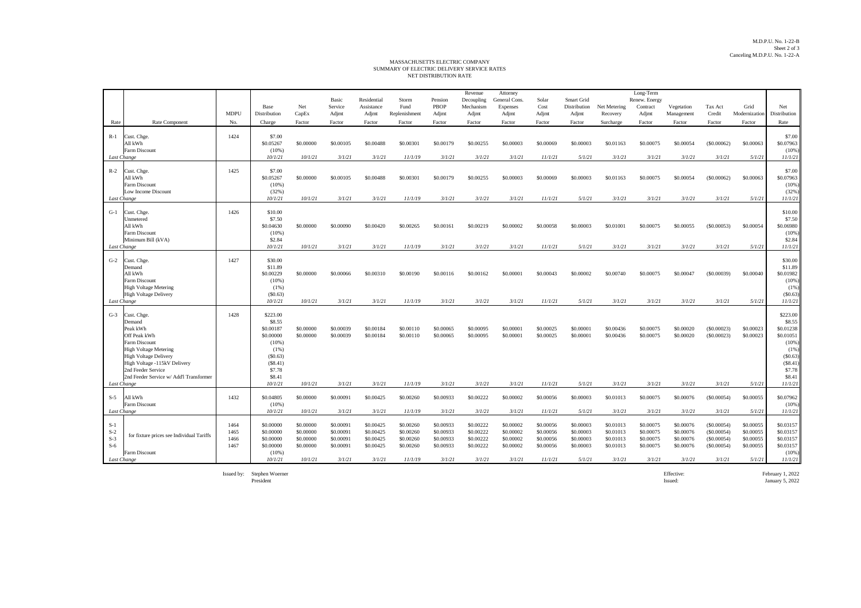## NET DISTRIBUTION RATE MASSACHUSETTS ELECTRIC COMPANY SUMMARY OF ELECTRIC DELIVERY SERVICE RATES

|                |                                                    |              |                        |                        |                        |                           |                        |                        | Revenue                 | Attorney                  |                        |                            |                        | Long-Term                 |                        |                           |                        |                        |
|----------------|----------------------------------------------------|--------------|------------------------|------------------------|------------------------|---------------------------|------------------------|------------------------|-------------------------|---------------------------|------------------------|----------------------------|------------------------|---------------------------|------------------------|---------------------------|------------------------|------------------------|
|                |                                                    |              | Base                   | Net                    | Basic<br>Service       | Residential<br>Assistance | Storm<br>Fund          | Pension<br>PBOP        | Decoupling<br>Mechanism | General Cons.<br>Expenses | Solar<br>Cost          | Smart Grid<br>Distribution | Net Metering           | Renew. Energy<br>Contract | Vegetation             | Tax Act                   | Grid                   | Net                    |
|                |                                                    | <b>MDPU</b>  | Distribution           | CapEx                  | Adjmt                  | Adjmt                     | Replenishment          | Adjmt                  | Adjmt                   | Adjmt                     | Adjmt                  | Adjmt                      | Recovery               | Adjmt                     | Management             | Credit                    | Modernization          | Distribution           |
| Rate           | Rate Component                                     | No.          | Charge                 | Factor                 | Factor                 | Factor                    | Factor                 | Factor                 | Factor                  | Factor                    | Factor                 | Factor                     | Surcharge              | Factor                    | Factor                 | Factor                    | Factor                 | Rate                   |
| $R-1$          | Cust. Chge.                                        | 1424         | \$7.00                 |                        |                        |                           |                        |                        |                         |                           |                        |                            |                        |                           |                        |                           |                        | \$7.00                 |
|                | All kWh                                            |              | \$0.05267              | \$0,00000              | \$0.00105              | \$0.00488                 | \$0.00301              | \$0.00179              | \$0.00255               | \$0,00003                 | \$0,00069              | \$0,00003                  | \$0.01163              | \$0.00075                 | \$0.00054              | (\$0.00062)               | \$0,00063              | \$0.07963              |
|                | Farm Discount<br>Last Change                       |              | $(10\%)$<br>10/1/21    | 10/1/21                | 3/1/21                 | 3/1/21                    | 11/1/19                | 3/1/21                 | 3/1/21                  | 3/1/21                    | 11/1/21                | 5/1/21                     | 3/1/21                 | 3/1/21                    | 3/1/21                 | 3/1/21                    | 5/1/21                 | (10%<br>11/1/21        |
|                |                                                    |              |                        |                        |                        |                           |                        |                        |                         |                           |                        |                            |                        |                           |                        |                           |                        |                        |
| $R-2$          | Cust. Chge.                                        | 1425         | \$7.00                 |                        |                        |                           |                        |                        |                         |                           |                        |                            |                        |                           |                        |                           |                        | \$7.00                 |
|                | All kWh<br>Farm Discount                           |              | \$0.05267<br>(10%)     | \$0,00000              | \$0,00105              | \$0,00488                 | \$0,00301              | \$0,00179              | \$0,00255               | \$0,00003                 | \$0,00069              | \$0,00003                  | \$0.01163              | \$0,00075                 | \$0,00054              | (\$0.00062)               | \$0,00063              | \$0.07963<br>(10%      |
|                | Low Income Discount                                |              | (32%)                  |                        |                        |                           |                        |                        |                         |                           |                        |                            |                        |                           |                        |                           |                        | (32% )                 |
|                | Last Change                                        |              | 10/1/21                | 10/1/21                | 3/1/21                 | 3/1/21                    | 11/1/19                | 3/1/21                 | 3/1/21                  | 3/1/21                    | 11/1/21                | 5/1/21                     | 3/1/21                 | 3/1/21                    | 3/1/21                 | 3/1/21                    | 5/1/21                 | 11/1/21                |
| $G-1$          | Cust. Chee                                         | 1426         | \$10.00                |                        |                        |                           |                        |                        |                         |                           |                        |                            |                        |                           |                        |                           |                        | \$10.00                |
|                | Unmetered                                          |              | \$7.50                 |                        |                        |                           |                        |                        |                         |                           |                        |                            |                        |                           |                        |                           |                        | \$7.50                 |
|                | All kWh                                            |              | \$0.04630              | \$0,00000              | \$0,00090              | \$0,00420                 | \$0.00265              | \$0,00161              | \$0,00219               | \$0,00002                 | \$0,00058              | \$0,00003                  | \$0,01001              | \$0,00075                 | \$0,00055              | (S0.00053)                | \$0,00054              | \$0.06980              |
|                | <b>Farm Discount</b><br>Minimum Bill (kVA)         |              | (10%<br>\$2.84         |                        |                        |                           |                        |                        |                         |                           |                        |                            |                        |                           |                        |                           |                        | (10%<br>\$2.84         |
|                | Last Change                                        |              | 10/1/21                | 10/1/21                | 3/1/21                 | 3/1/21                    | 11/1/19                | 3/1/21                 | 3/1/21                  | 3/1/21                    | 11/1/21                | 5/1/21                     | 3/1/21                 | 3/1/21                    | 3/1/21                 | 3/1/21                    | 5/1/21                 | 11/1/21                |
| $G-2$          | Cust. Chge.                                        | 1427         | \$30.00                |                        |                        |                           |                        |                        |                         |                           |                        |                            |                        |                           |                        |                           |                        | \$30.00                |
|                | Demand                                             |              | \$11.89                |                        |                        |                           |                        |                        |                         |                           |                        |                            |                        |                           |                        |                           |                        | \$11.89                |
|                | All kWh                                            |              | \$0.00229              | \$0,00000              | \$0,00066              | \$0,00310                 | \$0,00190              | \$0,00116              | \$0,00162               | \$0,00001                 | \$0.00043              | \$0.00002                  | \$0,00740              | \$0,00075                 | \$0,00047              | (S0.00039)                | \$0,00040              | \$0.01982              |
|                | Farm Discount<br><b>High Voltage Metering</b>      |              | (10%<br>$(1\%)$        |                        |                        |                           |                        |                        |                         |                           |                        |                            |                        |                           |                        |                           |                        | (10%<br>(1%            |
|                | <b>High Voltage Delivery</b>                       |              | (S0.63)                |                        |                        |                           |                        |                        |                         |                           |                        |                            |                        |                           |                        |                           |                        | (S0.63)                |
|                | Last Change                                        |              | 10/1/21                | 10/1/21                | 3/1/21                 | 3/1/21                    | 11/1/19                | 3/1/21                 | 3/1/21                  | 3/1/21                    | 11/1/21                | 5/1/21                     | 3/1/21                 | 3/1/21                    | 3/1/21                 | 3/1/21                    | 5/1/21                 | 11/1/21                |
| $G-3$          | Cust. Chge.                                        | 1428         | \$223.00               |                        |                        |                           |                        |                        |                         |                           |                        |                            |                        |                           |                        |                           |                        | \$223.00               |
|                | Demand                                             |              | \$8.55                 |                        |                        |                           |                        |                        |                         |                           |                        |                            |                        |                           |                        |                           |                        | \$8.55                 |
|                | Peak kWh<br>Off Peak kWh                           |              | \$0,00187              | \$0,00000<br>\$0,00000 | \$0,00039<br>\$0,00039 | \$0,00184<br>\$0,00184    | \$0,00110              | \$0,00065<br>\$0,00065 | \$0,00095               | \$0,00001<br>\$0,00001    | \$0,00025<br>\$0,00025 | \$0,00001<br>\$0,00001     | \$0.00436<br>\$0,00436 | \$0,00075<br>\$0,00075    | \$0,00020              | (S0.00023)                | \$0,00023<br>\$0,00023 | \$0.01238              |
|                | Farm Discount                                      |              | \$0.00000<br>(10%      |                        |                        |                           | \$0,00110              |                        | \$0.00095               |                           |                        |                            |                        |                           | \$0.00020              | (\$0.00023)               |                        | \$0.01051<br>(10%      |
|                | <b>High Voltage Metering</b>                       |              | $(1\%)$                |                        |                        |                           |                        |                        |                         |                           |                        |                            |                        |                           |                        |                           |                        | (1%                    |
|                | <b>High Voltage Delivery</b>                       |              | (S0.63)                |                        |                        |                           |                        |                        |                         |                           |                        |                            |                        |                           |                        |                           |                        | (S0.63)                |
|                | High Voltage -115kV Delivery<br>2nd Feeder Service |              | (S8.41)<br>\$7.78      |                        |                        |                           |                        |                        |                         |                           |                        |                            |                        |                           |                        |                           |                        | (S8.41)<br>\$7.78      |
|                | 2nd Feeder Service w/ Add'l Transformer            |              | \$8.41                 |                        |                        |                           |                        |                        |                         |                           |                        |                            |                        |                           |                        |                           |                        | \$8.41                 |
|                | Last Change                                        |              | 10/1/21                | 10/1/21                | 3/1/21                 | 3/1/21                    | 11/1/19                | 3/1/21                 | 3/1/21                  | 3/1/21                    | 11/1/21                | 5/1/21                     | 3/1/21                 | 3/1/21                    | 3/1/21                 | 3/1/21                    | 5/1/21                 | 11/1/21                |
| $S-5$          | All kWh                                            | 1432         | \$0.04805              | \$0,00000              | \$0,00091              | \$0,00425                 | \$0.00260              | \$0.00933              | \$0,00222               | \$0,00002                 | \$0,00056              | \$0,00003                  | \$0.01013              | \$0,00075                 | \$0,00076              | (S0.00054)                | \$0,00055              | \$0.07962              |
|                | Farm Discount                                      |              | $(10\%)$               |                        |                        |                           |                        |                        |                         |                           |                        |                            |                        |                           |                        |                           |                        | (10%                   |
|                | Last Change                                        |              | 10/1/21                | 10/1/21                | 3/1/21                 | 3/1/21                    | 11/1/19                | 3/1/21                 | 3/1/21                  | 3/1/21                    | 11/1/21                | 5/1/21                     | 3/1/21                 | 3/1/21                    | 3/1/21                 | 3/1/21                    | 5/1/21                 | 11/1/21                |
| $S-1$          |                                                    | 1464         | \$0.00000              | \$0,00000              | \$0,00091              | \$0.00425                 | \$0,00260              | \$0,00933              | \$0.00222               | \$0,00002                 | \$0,00056              | \$0.00003                  | \$0.01013              | \$0,00075                 | \$0.00076              | (S0.00054)                | \$0,00055              | \$0.03157              |
| $S-2$          | for fixture prices see Individual Tariffs          | 1465         | \$0.00000              | \$0.00000              | \$0.00091              | \$0.00425                 | \$0.00260              | \$0.00933              | \$0.00222               | \$0.00002                 | \$0.00056              | \$0.00003                  | \$0.01013              | \$0.00075                 | \$0.00076              | (\$0.00054)               | \$0.00055              | \$0.03157              |
| $S-3$<br>$S-6$ |                                                    | 1466<br>1467 | \$0.00000<br>\$0.00000 | \$0.00000<br>\$0,00000 | \$0.00091<br>\$0,00091 | \$0.00425<br>\$0.00425    | \$0.00260<br>\$0.00260 | \$0.00933<br>\$0.00933 | \$0.00222<br>\$0.00222  | \$0.00002<br>\$0,00002    | \$0.00056<br>\$0,00056 | \$0.00003<br>\$0,00003     | \$0.01013<br>\$0.01013 | \$0.00075<br>\$0.00075    | \$0.00076<br>\$0.00076 | (\$0.00054)<br>(S0.00054) | \$0.00055<br>\$0,00055 | \$0.03157<br>\$0.03157 |
|                | Farm Discount                                      |              | (10%                   |                        |                        |                           |                        |                        |                         |                           |                        |                            |                        |                           |                        |                           |                        | (10%                   |
|                | Last Change                                        |              | 10/1/21                | 10/1/21                | 3/1/21                 | 3/1/21                    | 11/1/19                | 3/1/21                 | 3/1/21                  | 3/1/21                    | 11/1/21                | 5/1/21                     | 3/1/21                 | 3/1/21                    | 3/1/21                 | 3/1/21                    | 5/1/21                 | 11/1/21                |

Issued by: Stephen Woerner<br>President

Stephen Woerner Effective: February 1, 2022 President Issued: January 5, 2022